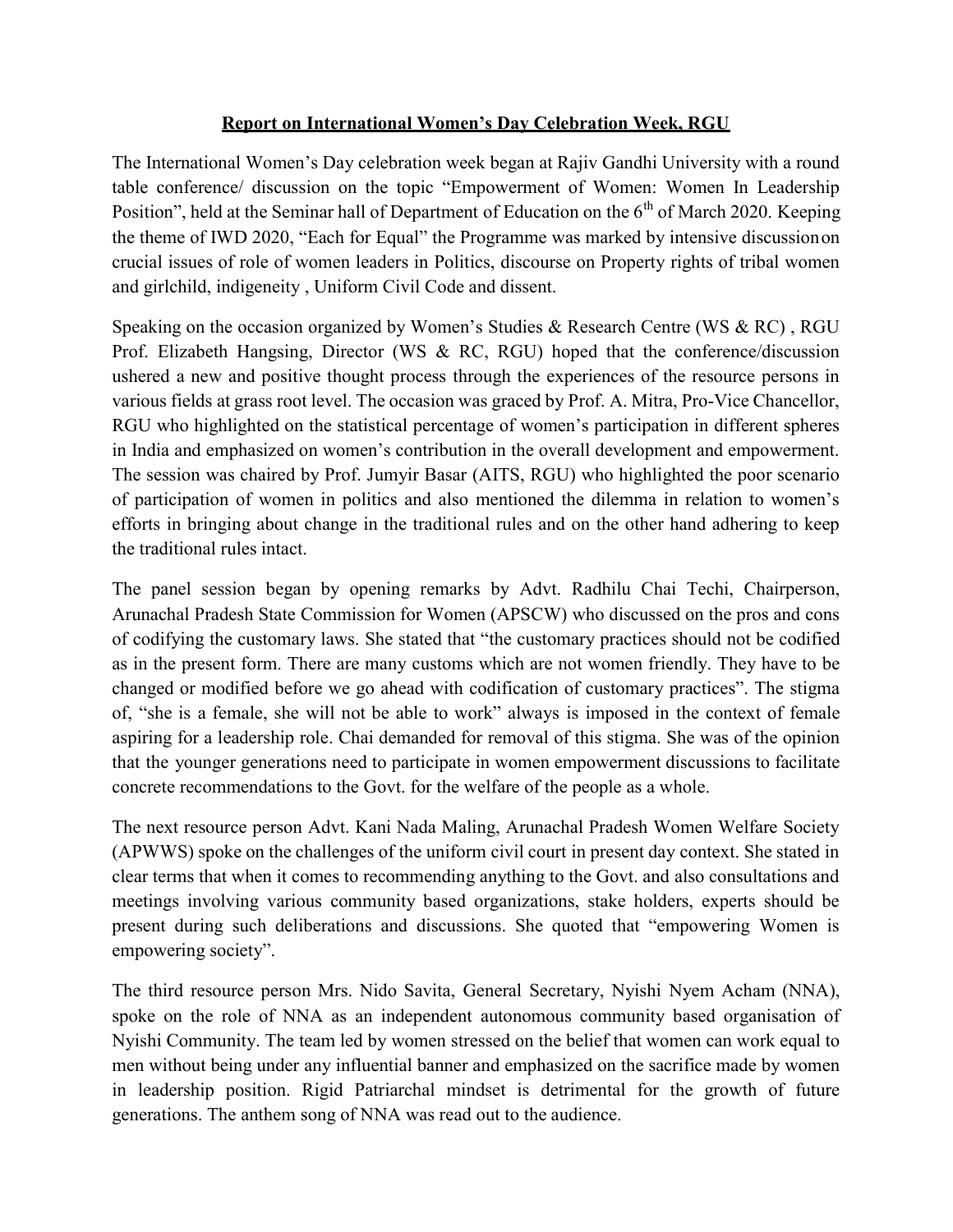## Report on International Women's Day Celebration Week, RGU

The International Women's Day celebration week began at Rajiv Gandhi University with a round table conference/ discussion on the topic "Empowerment of Women: Women In Leadership Position", held at the Seminar hall of Department of Education on the 6<sup>th</sup> of March 2020. Keeping the theme of IWD 2020, "Each for Equal" the Programme was marked by intensive discussion on crucial issues of role of women leaders in Politics, discourse on Property rights of tribal women and girlchild, indigeneity , Uniform Civil Code and dissent.

Speaking on the occasion organized by Women's Studies & Research Centre (WS & RC) , RGU Prof. Elizabeth Hangsing, Director (WS & RC, RGU) hoped that the conference/discussion ushered a new and positive thought process through the experiences of the resource persons in various fields at grass root level. The occasion was graced by Prof. A. Mitra, Pro-Vice Chancellor, RGU who highlighted on the statistical percentage of women's participation in different spheres in India and emphasized on women's contribution in the overall development and empowerment. The session was chaired by Prof. Jumyir Basar (AITS, RGU) who highlighted the poor scenario of participation of women in politics and also mentioned the dilemma in relation to women's efforts in bringing about change in the traditional rules and on the other hand adhering to keep the traditional rules intact.

The panel session began by opening remarks by Advt. Radhilu Chai Techi, Chairperson, Arunachal Pradesh State Commission for Women (APSCW) who discussed on the pros and cons of codifying the customary laws. She stated that "the customary practices should not be codified as in the present form. There are many customs which are not women friendly. They have to be changed or modified before we go ahead with codification of customary practices". The stigma of, "she is a female, she will not be able to work" always is imposed in the context of female aspiring for a leadership role. Chai demanded for removal of this stigma. She was of the opinion that the younger generations need to participate in women empowerment discussions to facilitate concrete recommendations to the Govt. for the welfare of the people as a whole.

The next resource person Advt. Kani Nada Maling, Arunachal Pradesh Women Welfare Society (APWWS) spoke on the challenges of the uniform civil court in present day context. She stated in clear terms that when it comes to recommending anything to the Govt. and also consultations and meetings involving various community based organizations, stake holders, experts should be present during such deliberations and discussions. She quoted that "empowering Women is empowering society".

The third resource person Mrs. Nido Savita, General Secretary, Nyishi Nyem Acham (NNA), spoke on the role of NNA as an independent autonomous community based organisation of Nyishi Community. The team led by women stressed on the belief that women can work equal to men without being under any influential banner and emphasized on the sacrifice made by women in leadership position. Rigid Patriarchal mindset is detrimental for the growth of future generations. The anthem song of NNA was read out to the audience.